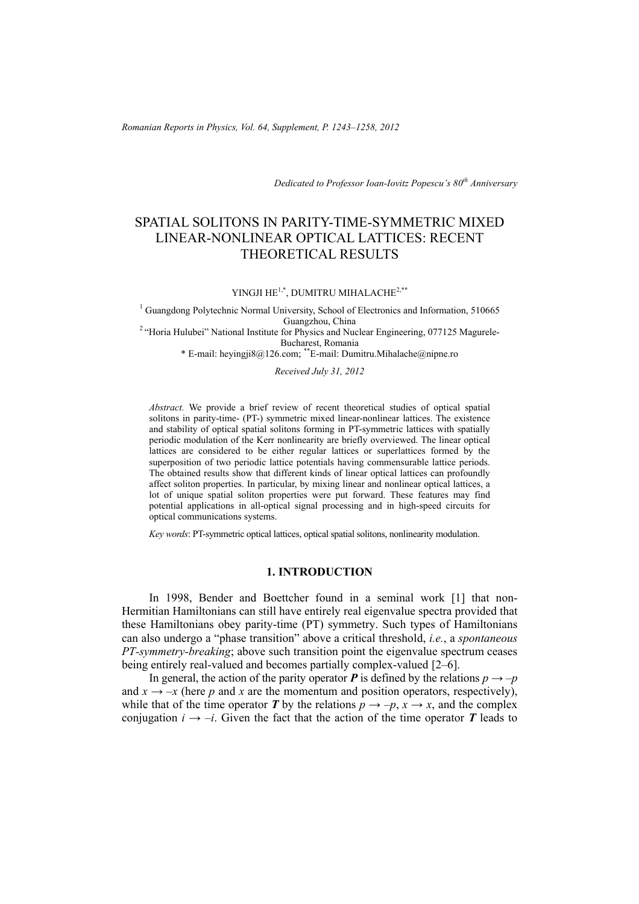*Romanian Reports in Physics, Vol. 64, Supplement, P. 1243–1258, 2012*

*Dedicated to Professor Ioan-Iovitz Popescu's 80th Anniversary*

# SPATIAL SOLITONS IN PARITY-TIME-SYMMETRIC MIXED LINEAR-NONLINEAR OPTICAL LATTICES: RECENT THEORETICAL RESULTS

### YINGJI HE<sup>1,\*</sup>, DUMITRU MIHALACHE<sup>2,\*\*</sup>

<sup>1</sup> Guangdong Polytechnic Normal University, School of Electronics and Information, 510665 Guangzhou, China 2 "Horia Hulubei" National Institute for Physics and Nuclear Engineering, 077125 Magurele-

Bucharest, Romania

\* E-mail: heyingji8@126.com; \*\*E-mail: Dumitru.Mihalache@nipne.ro

*Received July 31, 2012* 

*Abstract.* We provide a brief review of recent theoretical studies of optical spatial solitons in parity-time- (PT-) symmetric mixed linear-nonlinear lattices. The existence and stability of optical spatial solitons forming in PT-symmetric lattices with spatially periodic modulation of the Kerr nonlinearity are briefly overviewed. The linear optical lattices are considered to be either regular lattices or superlattices formed by the superposition of two periodic lattice potentials having commensurable lattice periods. The obtained results show that different kinds of linear optical lattices can profoundly affect soliton properties. In particular, by mixing linear and nonlinear optical lattices, a lot of unique spatial soliton properties were put forward. These features may find potential applications in all-optical signal processing and in high-speed circuits for optical communications systems.

*Key words*: PT-symmetric optical lattices, optical spatial solitons, nonlinearity modulation.

## **1. INTRODUCTION**

In 1998, Bender and Boettcher found in a seminal work [1] that non-Hermitian Hamiltonians can still have entirely real eigenvalue spectra provided that these Hamiltonians obey parity-time (PT) symmetry. Such types of Hamiltonians can also undergo a "phase transition" above a critical threshold, *i.e.*, a *spontaneous PT-symmetry-breaking*; above such transition point the eigenvalue spectrum ceases being entirely real-valued and becomes partially complex-valued [2–6].

In general, the action of the parity operator  $P$  is defined by the relations  $p \rightarrow -p$ and  $x \rightarrow -x$  (here *p* and *x* are the momentum and position operators, respectively), while that of the time operator *T* by the relations  $p \rightarrow -p$ ,  $x \rightarrow x$ , and the complex conjugation  $i \rightarrow -i$ . Given the fact that the action of the time operator *T* leads to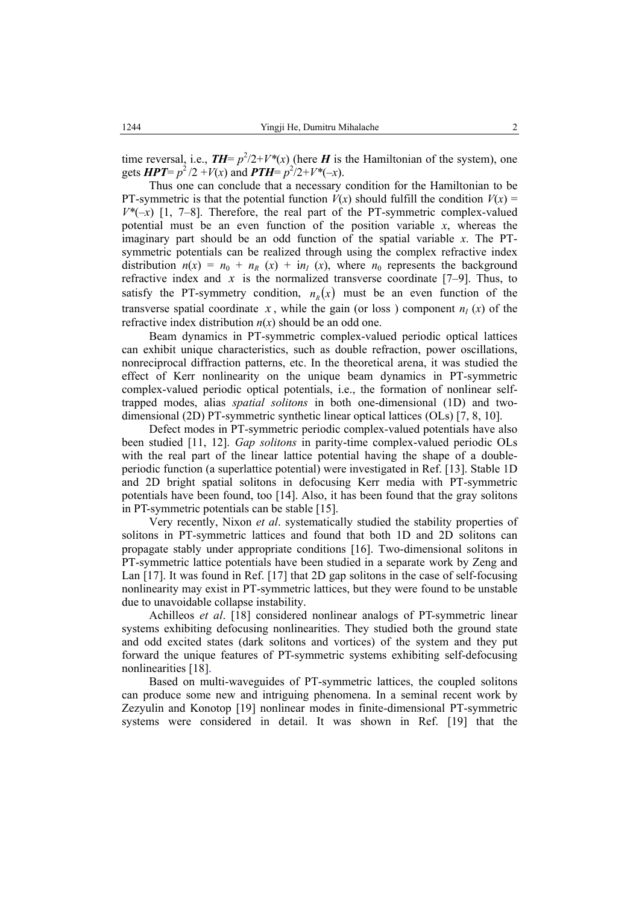time reversal, i.e.,  $TH = p^2/2 + V^*(x)$  (here *H* is the Hamiltonian of the system), one gets  $HPT = p^2/2 + V(x)$  and  $PTH = p^2/2 + V^*(-x)$ .

Thus one can conclude that a necessary condition for the Hamiltonian to be PT-symmetric is that the potential function  $V(x)$  should fulfill the condition  $V(x)$  =  $V^*(-x)$  [1, 7–8]. Therefore, the real part of the PT-symmetric complex-valued potential must be an even function of the position variable *x*, whereas the imaginary part should be an odd function of the spatial variable *x*. The PTsymmetric potentials can be realized through using the complex refractive index distribution  $n(x) = n_0 + n_R(x) + i n_I(x)$ , where  $n_0$  represents the background refractive index and  $x$  is the normalized transverse coordinate  $[7-9]$ . Thus, to satisfy the PT-symmetry condition,  $n<sub>n</sub>(x)$  must be an even function of the transverse spatial coordinate *x*, while the gain (or loss) component  $n<sub>I</sub>$  (*x*) of the refractive index distribution  $n(x)$  should be an odd one.

Beam dynamics in PT-symmetric complex-valued periodic optical lattices can exhibit unique characteristics, such as double refraction, power oscillations, nonreciprocal diffraction patterns, etc. In the theoretical arena, it was studied the effect of Kerr nonlinearity on the unique beam dynamics in PT-symmetric complex-valued periodic optical potentials, i.e., the formation of nonlinear selftrapped modes, alias *spatial solitons* in both one-dimensional (1D) and twodimensional (2D) PT-symmetric synthetic linear optical lattices (OLs) [7, 8, 10].

Defect modes in PT-symmetric periodic complex-valued potentials have also been studied [11, 12]. *Gap solitons* in parity-time complex-valued periodic OLs with the real part of the linear lattice potential having the shape of a doubleperiodic function (a superlattice potential) were investigated in Ref. [13]. Stable 1D and 2D bright spatial solitons in defocusing Kerr media with PT-symmetric potentials have been found, too [14]. Also, it has been found that the gray solitons in PT-symmetric potentials can be stable [15].

Very recently, Nixon *et al*. systematically studied the stability properties of solitons in PT-symmetric lattices and found that both 1D and 2D solitons can propagate stably under appropriate conditions [16]. Two-dimensional solitons in PT-symmetric lattice potentials have been studied in a separate work by Zeng and Lan [17]. It was found in Ref. [17] that 2D gap solitons in the case of self-focusing nonlinearity may exist in PT-symmetric lattices, but they were found to be unstable due to unavoidable collapse instability.

Achilleos *et al*. [18] considered nonlinear analogs of PT-symmetric linear systems exhibiting defocusing nonlinearities. They studied both the ground state and odd excited states (dark solitons and vortices) of the system and they put forward the unique features of PT-symmetric systems exhibiting self-defocusing nonlinearities [18].

Based on multi-waveguides of PT-symmetric lattices, the coupled solitons can produce some new and intriguing phenomena. In a seminal recent work by Zezyulin and Konotop [19] nonlinear modes in finite-dimensional PT-symmetric systems were considered in detail. It was shown in Ref. [19] that the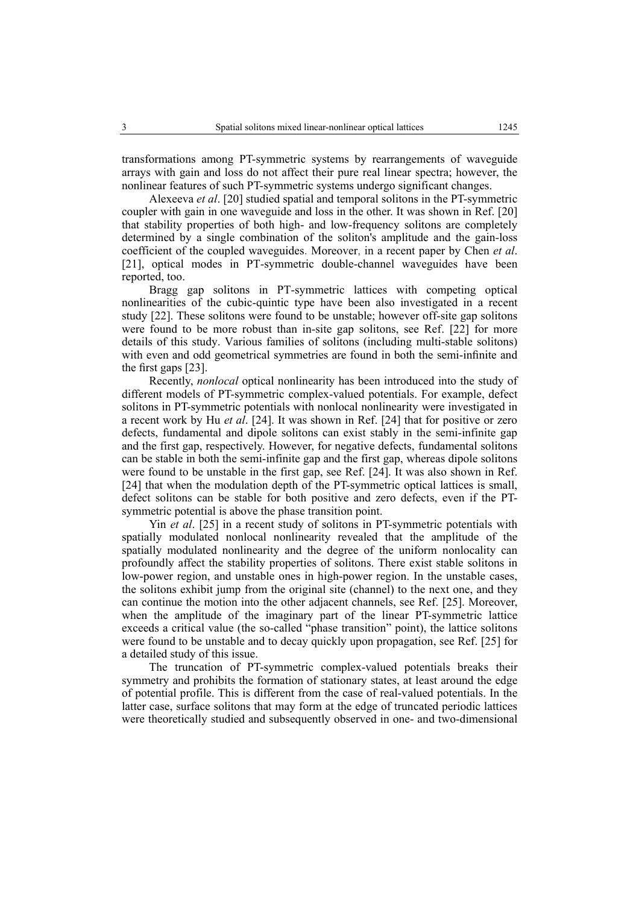transformations among PT-symmetric systems by rearrangements of waveguide arrays with gain and loss do not affect their pure real linear spectra; however, the nonlinear features of such PT-symmetric systems undergo significant changes.

Alexeeva *et al*. [20] studied spatial and temporal solitons in the PT-symmetric coupler with gain in one waveguide and loss in the other. It was shown in Ref. [20] that stability properties of both high- and low-frequency solitons are completely determined by a single combination of the soliton's amplitude and the gain-loss coefficient of the coupled waveguides. Moreover, in a recent paper by Chen *et al*. [21], optical modes in PT-symmetric double-channel waveguides have been reported, too.

Bragg gap solitons in PT-symmetric lattices with competing optical nonlinearities of the cubic-quintic type have been also investigated in a recent study [22]. These solitons were found to be unstable; however off-site gap solitons were found to be more robust than in-site gap solitons, see Ref. [22] for more details of this study. Various families of solitons (including multi-stable solitons) with even and odd geometrical symmetries are found in both the semi-infinite and the first gaps [23].

Recently, *nonlocal* optical nonlinearity has been introduced into the study of different models of PT-symmetric complex-valued potentials. For example, defect solitons in PT-symmetric potentials with nonlocal nonlinearity were investigated in a recent work by Hu *et al*. [24]. It was shown in Ref. [24] that for positive or zero defects, fundamental and dipole solitons can exist stably in the semi-infinite gap and the first gap, respectively. However, for negative defects, fundamental solitons can be stable in both the semi-infinite gap and the first gap, whereas dipole solitons were found to be unstable in the first gap, see Ref. [24]. It was also shown in Ref. [24] that when the modulation depth of the PT-symmetric optical lattices is small, defect solitons can be stable for both positive and zero defects, even if the PTsymmetric potential is above the phase transition point.

Yin *et al*. [25] in a recent study of solitons in PT-symmetric potentials with spatially modulated nonlocal nonlinearity revealed that the amplitude of the spatially modulated nonlinearity and the degree of the uniform nonlocality can profoundly affect the stability properties of solitons. There exist stable solitons in low-power region, and unstable ones in high-power region. In the unstable cases, the solitons exhibit jump from the original site (channel) to the next one, and they can continue the motion into the other adjacent channels, see Ref. [25]. Moreover, when the amplitude of the imaginary part of the linear PT-symmetric lattice exceeds a critical value (the so-called "phase transition" point), the lattice solitons were found to be unstable and to decay quickly upon propagation, see Ref. [25] for a detailed study of this issue.

The truncation of PT-symmetric complex-valued potentials breaks their symmetry and prohibits the formation of stationary states, at least around the edge of potential profile. This is different from the case of real-valued potentials. In the latter case, surface solitons that may form at the edge of truncated periodic lattices were theoretically studied and subsequently observed in one- and two-dimensional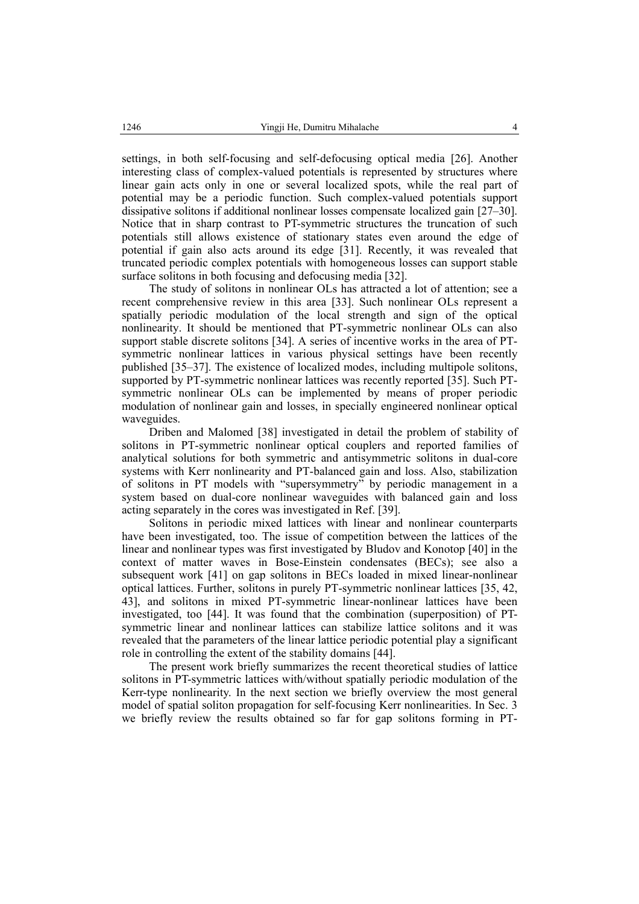settings, in both self-focusing and self-defocusing optical media [26]. Another interesting class of complex-valued potentials is represented by structures where linear gain acts only in one or several localized spots, while the real part of potential may be a periodic function. Such complex-valued potentials support dissipative solitons if additional nonlinear losses compensate localized gain [27–30]. Notice that in sharp contrast to PT-symmetric structures the truncation of such potentials still allows existence of stationary states even around the edge of potential if gain also acts around its edge [31]. Recently, it was revealed that truncated periodic complex potentials with homogeneous losses can support stable surface solitons in both focusing and defocusing media [32].

The study of solitons in nonlinear OLs has attracted a lot of attention; see a recent comprehensive review in this area [33]. Such nonlinear OLs represent a spatially periodic modulation of the local strength and sign of the optical nonlinearity. It should be mentioned that PT-symmetric nonlinear OLs can also support stable discrete solitons [34]. A series of incentive works in the area of PTsymmetric nonlinear lattices in various physical settings have been recently published [35–37]. The existence of localized modes, including multipole solitons, supported by PT-symmetric nonlinear lattices was recently reported [35]. Such PTsymmetric nonlinear OLs can be implemented by means of proper periodic modulation of nonlinear gain and losses, in specially engineered nonlinear optical waveguides.

Driben and Malomed [38] investigated in detail the problem of stability of solitons in PT-symmetric nonlinear optical couplers and reported families of analytical solutions for both symmetric and antisymmetric solitons in dual-core systems with Kerr nonlinearity and PT-balanced gain and loss. Also, stabilization of solitons in PT models with "supersymmetry" by periodic management in a system based on dual-core nonlinear waveguides with balanced gain and loss acting separately in the cores was investigated in Ref. [39].

Solitons in periodic mixed lattices with linear and nonlinear counterparts have been investigated, too. The issue of competition between the lattices of the linear and nonlinear types was first investigated by Bludov and Konotop [40] in the context of matter waves in Bose-Einstein condensates (BECs); see also a subsequent work [41] on gap solitons in BECs loaded in mixed linear-nonlinear optical lattices. Further, solitons in purely PT-symmetric nonlinear lattices [35, 42, 43], and solitons in mixed PT-symmetric linear-nonlinear lattices have been investigated, too [44]. It was found that the combination (superposition) of PTsymmetric linear and nonlinear lattices can stabilize lattice solitons and it was revealed that the parameters of the linear lattice periodic potential play a significant role in controlling the extent of the stability domains [44].

The present work briefly summarizes the recent theoretical studies of lattice solitons in PT-symmetric lattices with/without spatially periodic modulation of the Kerr-type nonlinearity. In the next section we briefly overview the most general model of spatial soliton propagation for self-focusing Kerr nonlinearities. In Sec. 3 we briefly review the results obtained so far for gap solitons forming in PT-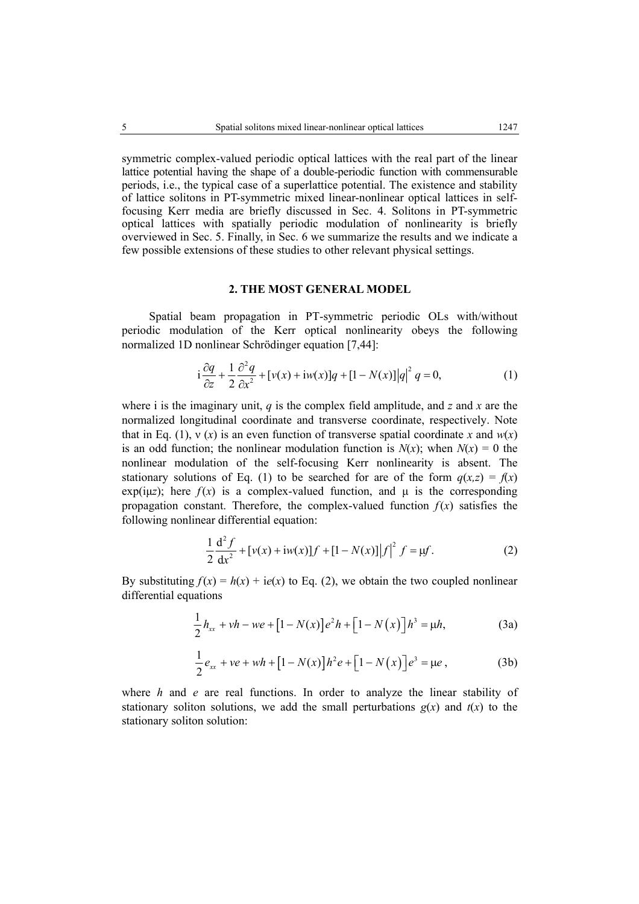symmetric complex-valued periodic optical lattices with the real part of the linear lattice potential having the shape of a double-periodic function with commensurable periods, i.e., the typical case of a superlattice potential. The existence and stability of lattice solitons in PT-symmetric mixed linear-nonlinear optical lattices in selffocusing Kerr media are briefly discussed in Sec. 4. Solitons in PT-symmetric optical lattices with spatially periodic modulation of nonlinearity is briefly overviewed in Sec. 5. Finally, in Sec. 6 we summarize the results and we indicate a few possible extensions of these studies to other relevant physical settings.

### **2. THE MOST GENERAL MODEL**

Spatial beam propagation in PT-symmetric periodic OLs with/without periodic modulation of the Kerr optical nonlinearity obeys the following normalized 1D nonlinear Schrödinger equation [7,44]:

$$
i\frac{\partial q}{\partial z} + \frac{1}{2}\frac{\partial^2 q}{\partial x^2} + [\nu(x) + i\omega(x)]q + [1 - N(x)]|q|^2 q = 0,
$$
\n(1)

where i is the imaginary unit, *q* is the complex field amplitude, and *z* and *x* are the normalized longitudinal coordinate and transverse coordinate, respectively. Note that in Eq. (1),  $y(x)$  is an even function of transverse spatial coordinate x and  $w(x)$ is an odd function; the nonlinear modulation function is  $N(x)$ ; when  $N(x) = 0$  the nonlinear modulation of the self-focusing Kerr nonlinearity is absent. The stationary solutions of Eq. (1) to be searched for are of the form  $q(x,z) = f(x)$ exp( $i(x)$ ); here  $f(x)$  is a complex-valued function, and u is the corresponding propagation constant. Therefore, the complex-valued function  $f(x)$  satisfies the following nonlinear differential equation:

$$
\frac{1}{2}\frac{d^2 f}{dx^2} + [v(x) + iw(x)]f + [1 - N(x)]|f|^2 f = \mu f.
$$
 (2)

By substituting  $f(x) = h(x) + ie(x)$  to Eq. (2), we obtain the two coupled nonlinear differential equations

$$
\frac{1}{2}h_{xx} + vh - we + \left[1 - N(x)\right]e^{2}h + \left[1 - N(x)\right]h^{3} = \mu h,\tag{3a}
$$

$$
\frac{1}{2}e_{xx} + ve + wh + [1 - N(x)]h^2e + [1 - N(x)]e^3 = \mu e,
$$
 (3b)

where *h* and *e* are real functions. In order to analyze the linear stability of stationary soliton solutions, we add the small perturbations  $g(x)$  and  $t(x)$  to the stationary soliton solution: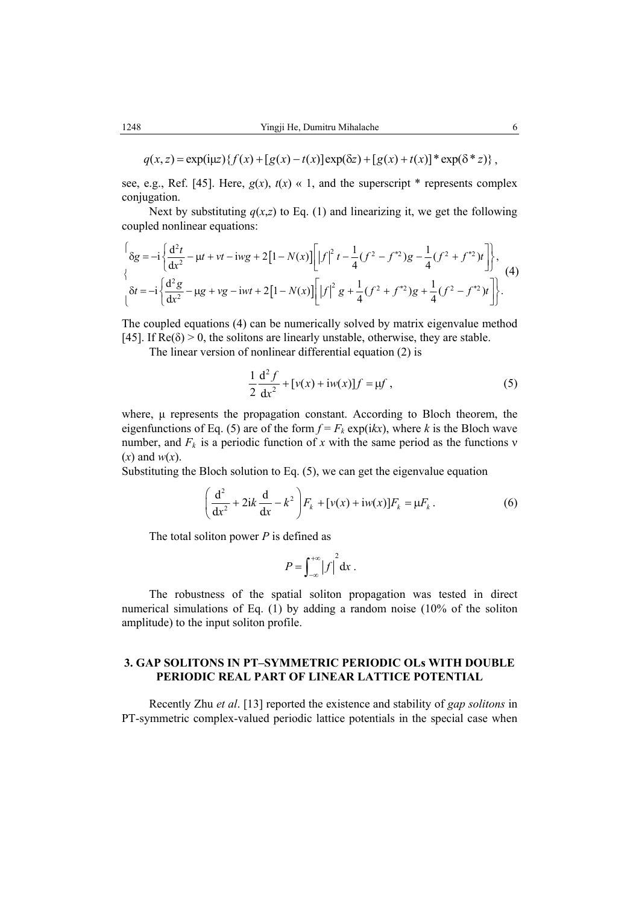see, e.g., Ref. [45]. Here,  $g(x)$ ,  $t(x) \ll 1$ , and the superscript  $*$  represents complex conjugation.

Next by substituting  $q(x,z)$  to Eq. (1) and linearizing it, we get the following coupled nonlinear equations:

$$
\begin{aligned}\n\left\{\delta g = -i \left\{ \frac{d^2 t}{dx^2} - \mu t + vt - iwg + 2\left[1 - N(x)\right] \left[ \left| f \right|^2 t - \frac{1}{4} (f^2 - f^{*2}) g - \frac{1}{4} (f^2 + f^{*2}) t \right] \right\}, \\
\delta t = -i \left\{ \frac{d^2 g}{dx^2} - \mu g + v g - iwt + 2\left[1 - N(x)\right] \left[ \left| f \right|^2 g + \frac{1}{4} (f^2 + f^{*2}) g + \frac{1}{4} (f^2 - f^{*2}) t \right] \right\}.\n\end{aligned}
$$
\n(4)

The coupled equations (4) can be numerically solved by matrix eigenvalue method [45]. If  $\text{Re}(\delta) > 0$ , the solitons are linearly unstable, otherwise, they are stable.

The linear version of nonlinear differential equation (2) is

$$
\frac{1}{2}\frac{d^2 f}{dx^2} + [v(x) + iw(x)]f = \mu f,
$$
\n(5)

where,  $\mu$  represents the propagation constant. According to Bloch theorem, the eigenfunctions of Eq. (5) are of the form  $f = F_k \exp(ikx)$ , where *k* is the Bloch wave number, and  $F_k$  is a periodic function of x with the same period as the functions v (*x*) and *w*(*x*).

Substituting the Bloch solution to Eq. (5), we can get the eigenvalue equation

$$
\left(\frac{d^2}{dx^2} + 2ik\frac{d}{dx} - k^2\right)F_k + [v(x) + iw(x)]F_k = \mu F_k.
$$
 (6)

The total soliton power *P* is defined as

$$
P=\int_{-\infty}^{+\infty}\left|f\right|^2\mathrm{d}x\ .
$$

The robustness of the spatial soliton propagation was tested in direct numerical simulations of Eq. (1) by adding a random noise (10% of the soliton amplitude) to the input soliton profile.

# **3. GAP SOLITONS IN PT–SYMMETRIC PERIODIC OLs WITH DOUBLE PERIODIC REAL PART OF LINEAR LATTICE POTENTIAL**

Recently Zhu *et al*. [13] reported the existence and stability of *gap solitons* in PT-symmetric complex-valued periodic lattice potentials in the special case when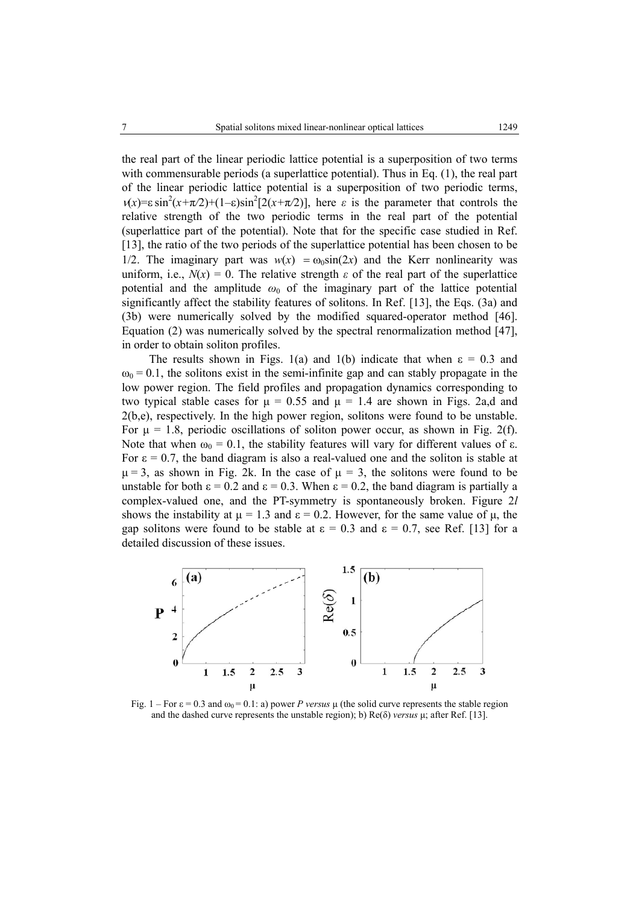the real part of the linear periodic lattice potential is a superposition of two terms with commensurable periods (a superlattice potential). Thus in Eq. (1), the real part of the linear periodic lattice potential is a superposition of two periodic terms,  $v(x)=\varepsilon \sin^2(x+\pi/2)+(1-\varepsilon)\sin^2[2(x+\pi/2)]$ , here  $\varepsilon$  is the parameter that controls the relative strength of the two periodic terms in the real part of the potential (superlattice part of the potential). Note that for the specific case studied in Ref. [13], the ratio of the two periods of the superlattice potential has been chosen to be 1/2. The imaginary part was  $w(x) = \omega_0 \sin(2x)$  and the Kerr nonlinearity was uniform, i.e.,  $N(x) = 0$ . The relative strength  $\varepsilon$  of the real part of the superlattice potential and the amplitude  $\omega_0$  of the imaginary part of the lattice potential significantly affect the stability features of solitons. In Ref. [13], the Eqs. (3a) and (3b) were numerically solved by the modified squared-operator method [46]. Equation (2) was numerically solved by the spectral renormalization method [47], in order to obtain soliton profiles.

The results shown in Figs. 1(a) and 1(b) indicate that when  $\varepsilon = 0.3$  and  $\omega_0 = 0.1$ , the solitons exist in the semi-infinite gap and can stably propagate in the low power region. The field profiles and propagation dynamics corresponding to two typical stable cases for  $\mu = 0.55$  and  $\mu = 1.4$  are shown in Figs. 2a,d and 2(b,e), respectively. In the high power region, solitons were found to be unstable. For  $\mu = 1.8$ , periodic oscillations of soliton power occur, as shown in Fig. 2(f). Note that when  $\omega_0 = 0.1$ , the stability features will vary for different values of  $\varepsilon$ . For  $\varepsilon = 0.7$ , the band diagram is also a real-valued one and the soliton is stable at  $\mu$  = 3, as shown in Fig. 2k. In the case of  $\mu$  = 3, the solitons were found to be unstable for both  $\varepsilon = 0.2$  and  $\varepsilon = 0.3$ . When  $\varepsilon = 0.2$ , the band diagram is partially a complex-valued one, and the PT-symmetry is spontaneously broken. Figure 2*l* shows the instability at  $\mu = 1.3$  and  $\epsilon = 0.2$ . However, for the same value of  $\mu$ , the gap solitons were found to be stable at  $\varepsilon = 0.3$  and  $\varepsilon = 0.7$ , see Ref. [13] for a detailed discussion of these issues.



Fig. 1 – For  $\varepsilon$  = 0.3 and  $\omega_0$  = 0.1: a) power *P* versus  $\mu$  (the solid curve represents the stable region and the dashed curve represents the unstable region); b) Re(δ) *versus* µ; after Ref. [13].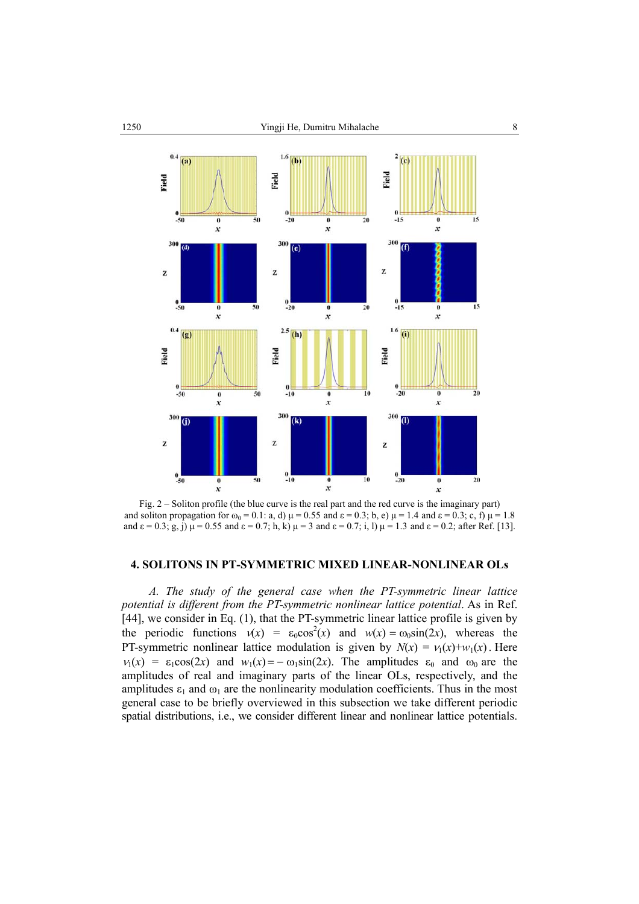

Fig. 2 – Soliton profile (the blue curve is the real part and the red curve is the imaginary part) and soliton propagation for  $\omega_0 = 0.1$ : a, d)  $\mu = 0.55$  and  $\varepsilon = 0.3$ ; b, e)  $\mu = 1.4$  and  $\varepsilon = 0.3$ ; c, f)  $\mu = 1.8$ and  $\varepsilon = 0.3$ ; g, j)  $\mu = 0.55$  and  $\varepsilon = 0.7$ ; h, k)  $\mu = 3$  and  $\varepsilon = 0.7$ ; i, l)  $\mu = 1.3$  and  $\varepsilon = 0.2$ ; after Ref. [13].

# **4. SOLITONS IN PT-SYMMETRIC MIXED LINEAR-NONLINEAR OLs**

*A. The study of the general case when the PT-symmetric linear lattice potential is different from the PT-symmetric nonlinear lattice potential*. As in Ref. [44], we consider in Eq. (1), that the PT-symmetric linear lattice profile is given by the periodic functions  $v(x) = \varepsilon_0 \cos^2(x)$  and  $w(x) = \cos \sin(2x)$ , whereas the PT-symmetric nonlinear lattice modulation is given by  $N(x) = v_1(x) + w_1(x)$ . Here  $v_1(x) = \varepsilon_1 \cos(2x)$  and  $w_1(x) = -\omega_1 \sin(2x)$ . The amplitudes  $\varepsilon_0$  and  $\omega_0$  are the amplitudes of real and imaginary parts of the linear OLs, respectively, and the amplitudes  $\varepsilon_1$  and  $\omega_1$  are the nonlinearity modulation coefficients. Thus in the most general case to be briefly overviewed in this subsection we take different periodic spatial distributions, i.e., we consider different linear and nonlinear lattice potentials.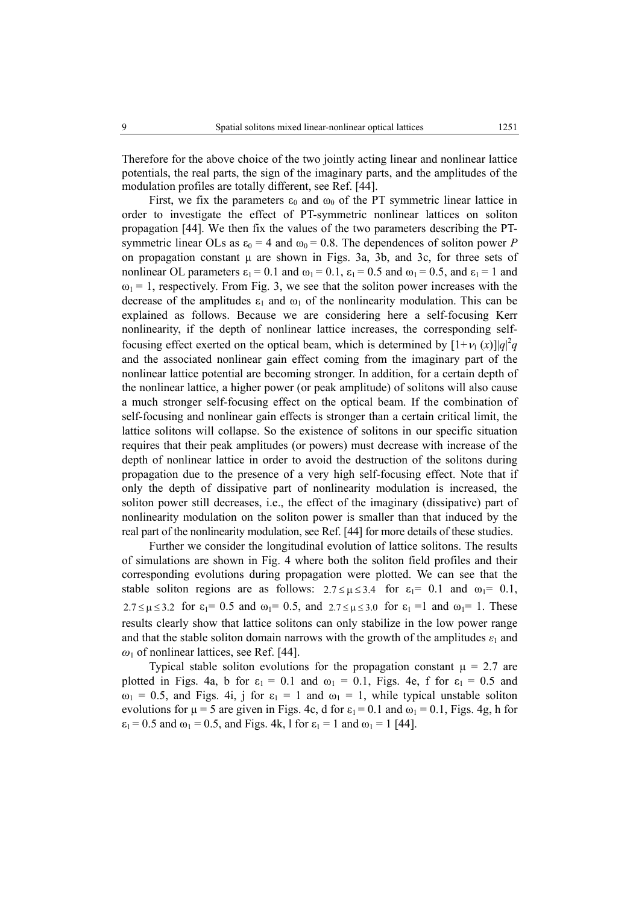Therefore for the above choice of the two jointly acting linear and nonlinear lattice potentials, the real parts, the sign of the imaginary parts, and the amplitudes of the modulation profiles are totally different, see Ref. [44].

First, we fix the parameters  $\varepsilon_0$  and  $\omega_0$  of the PT symmetric linear lattice in order to investigate the effect of PT-symmetric nonlinear lattices on soliton propagation [44]. We then fix the values of the two parameters describing the PTsymmetric linear OLs as  $\varepsilon_0 = 4$  and  $\omega_0 = 0.8$ . The dependences of soliton power *P* on propagation constant  $\mu$  are shown in Figs. 3a, 3b, and 3c, for three sets of nonlinear OL parameters  $\varepsilon_1 = 0.1$  and  $\omega_1 = 0.1$ ,  $\varepsilon_1 = 0.5$  and  $\omega_1 = 0.5$ , and  $\varepsilon_1 = 1$  and  $\omega_1$  = 1, respectively. From Fig. 3, we see that the soliton power increases with the decrease of the amplitudes  $\varepsilon_1$  and  $\omega_1$  of the nonlinearity modulation. This can be explained as follows. Because we are considering here a self-focusing Kerr nonlinearity, if the depth of nonlinear lattice increases, the corresponding selffocusing effect exerted on the optical beam, which is determined by  $[1+\nu_1(x)]|q|^2q$ and the associated nonlinear gain effect coming from the imaginary part of the nonlinear lattice potential are becoming stronger. In addition, for a certain depth of the nonlinear lattice, a higher power (or peak amplitude) of solitons will also cause a much stronger self-focusing effect on the optical beam. If the combination of self-focusing and nonlinear gain effects is stronger than a certain critical limit, the lattice solitons will collapse. So the existence of solitons in our specific situation requires that their peak amplitudes (or powers) must decrease with increase of the depth of nonlinear lattice in order to avoid the destruction of the solitons during propagation due to the presence of a very high self-focusing effect. Note that if only the depth of dissipative part of nonlinearity modulation is increased, the soliton power still decreases, i.e., the effect of the imaginary (dissipative) part of nonlinearity modulation on the soliton power is smaller than that induced by the real part of the nonlinearity modulation, see Ref. [44] for more details of these studies.

Further we consider the longitudinal evolution of lattice solitons. The results of simulations are shown in Fig. 4 where both the soliton field profiles and their corresponding evolutions during propagation were plotted. We can see that the stable soliton regions are as follows:  $2.7 \le \mu \le 3.4$  for  $\varepsilon_1 = 0.1$  and  $\omega_1 = 0.1$ ,  $2.7 \leq \mu \leq 3.2$  for  $\varepsilon_1 = 0.5$  and  $\omega_1 = 0.5$ , and  $2.7 \leq \mu \leq 3.0$  for  $\varepsilon_1 = 1$  and  $\omega_1 = 1$ . These results clearly show that lattice solitons can only stabilize in the low power range and that the stable soliton domain narrows with the growth of the amplitudes  $\varepsilon_1$  and *ω*1 of nonlinear lattices, see Ref. [44].

Typical stable soliton evolutions for the propagation constant  $\mu = 2.7$  are plotted in Figs. 4a, b for  $\varepsilon_1 = 0.1$  and  $\omega_1 = 0.1$ , Figs. 4e, f for  $\varepsilon_1 = 0.5$  and  $\omega_1 = 0.5$ , and Figs. 4i, j for  $\varepsilon_1 = 1$  and  $\omega_1 = 1$ , while typical unstable soliton evolutions for  $\mu = 5$  are given in Figs. 4c, d for  $\varepsilon_1 = 0.1$  and  $\omega_1 = 0.1$ , Figs. 4g, h for  $\varepsilon_1 = 0.5$  and  $\omega_1 = 0.5$ , and Figs. 4k, 1 for  $\varepsilon_1 = 1$  and  $\omega_1 = 1$  [44].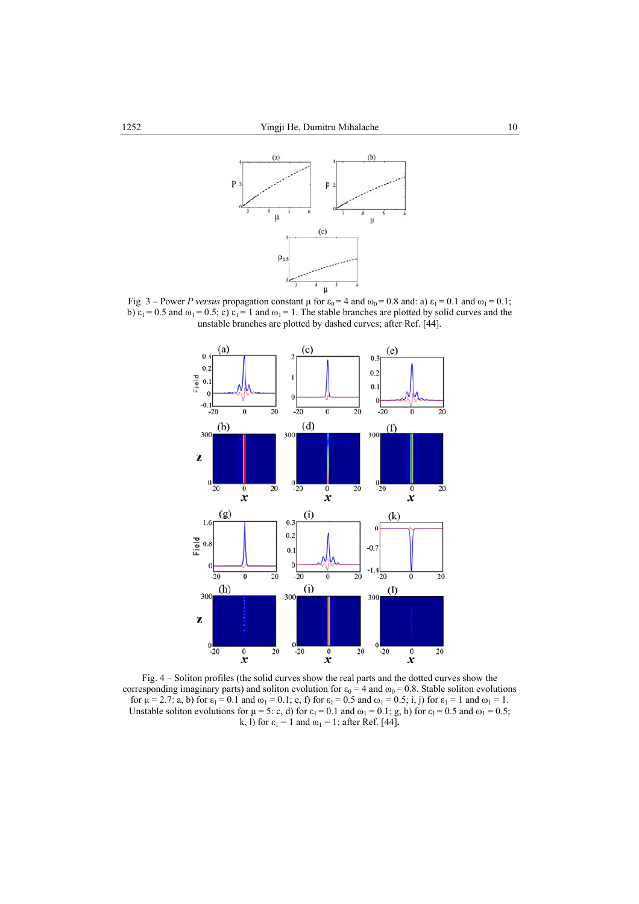

Fig. 3 – Power *P versus* propagation constant  $\mu$  for  $\varepsilon_0 = 4$  and  $\omega_0 = 0.8$  and: a)  $\varepsilon_1 = 0.1$  and  $\omega_1 = 0.1$ ; b)  $\varepsilon_1 = 0.5$  and  $\omega_1 = 0.5$ ; c)  $\varepsilon_1 = 1$  and  $\omega_1 = 1$ . The stable branches are plotted by solid curves and the unstable branches are plotted by dashed curves; after Ref. [44].



Fig. 4 – Soliton profiles (the solid curves show the real parts and the dotted curves show the corresponding imaginary parts) and soliton evolution for  $\varepsilon_0 = 4$  and  $\omega_0 = 0.8$ . Stable soliton evolutions for  $\mu = 2.7$ : a, b) for  $\varepsilon_1 = 0.1$  and  $\omega_1 = 0.1$ ; e, f) for  $\varepsilon_1 = 0.5$  and  $\omega_1 = 0.5$ ; i, j) for  $\varepsilon_1 = 1$  and  $\omega_1 = 1$ . Unstable soliton evolutions for  $\mu = 5$ : c, d) for  $\varepsilon_1 = 0.1$  and  $\omega_1 = 0.1$ ; g, h) for  $\varepsilon_1 = 0.5$  and  $\omega_1 = 0.5$ ; k, l) for  $\varepsilon_1 = 1$  and  $\omega_1 = 1$ ; after Ref. [44].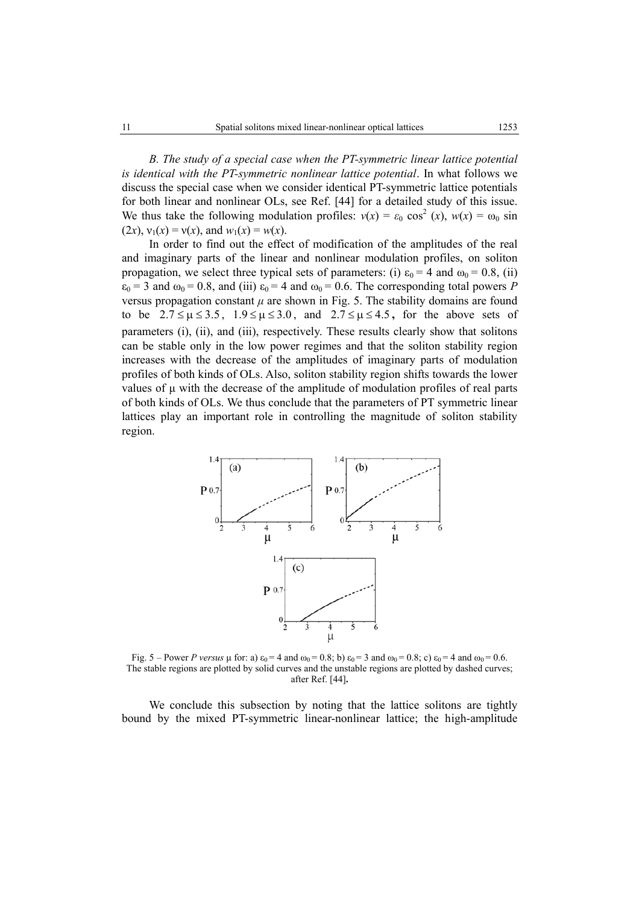*B. The study of a special case when the PT-symmetric linear lattice potential is identical with the PT-symmetric nonlinear lattice potential*. In what follows we discuss the special case when we consider identical PT-symmetric lattice potentials for both linear and nonlinear OLs, see Ref. [44] for a detailed study of this issue. We thus take the following modulation profiles:  $v(x) = \varepsilon_0 \cos^2(x)$ ,  $w(x) = \omega_0 \sin(x)$  $(2x)$ ,  $v_1(x) = v(x)$ , and  $w_1(x) = w(x)$ .

In order to find out the effect of modification of the amplitudes of the real and imaginary parts of the linear and nonlinear modulation profiles, on soliton propagation, we select three typical sets of parameters: (i)  $\varepsilon_0 = 4$  and  $\omega_0 = 0.8$ , (ii)  $\varepsilon_0$  = 3 and  $\omega_0$  = 0.8, and (iii)  $\varepsilon_0$  = 4 and  $\omega_0$  = 0.6. The corresponding total powers *P* versus propagation constant  $\mu$  are shown in Fig. 5. The stability domains are found to be  $2.7 \leq \mu \leq 3.5$ ,  $1.9 \leq \mu \leq 3.0$ , and  $2.7 \leq \mu \leq 4.5$ , for the above sets of parameters (i), (ii), and (iii), respectively. These results clearly show that solitons can be stable only in the low power regimes and that the soliton stability region increases with the decrease of the amplitudes of imaginary parts of modulation profiles of both kinds of OLs. Also, soliton stability region shifts towards the lower values of  $\mu$  with the decrease of the amplitude of modulation profiles of real parts of both kinds of OLs. We thus conclude that the parameters of PT symmetric linear lattices play an important role in controlling the magnitude of soliton stability region.



Fig. 5 – Power *P* versus  $\mu$  for: a)  $\varepsilon_0 = 4$  and  $\omega_0 = 0.8$ ; b)  $\varepsilon_0 = 3$  and  $\omega_0 = 0.8$ ; c)  $\varepsilon_0 = 4$  and  $\omega_0 = 0.6$ . The stable regions are plotted by solid curves and the unstable regions are plotted by dashed curves; after Ref. [44]**.**

We conclude this subsection by noting that the lattice solitons are tightly bound by the mixed PT-symmetric linear-nonlinear lattice; the high-amplitude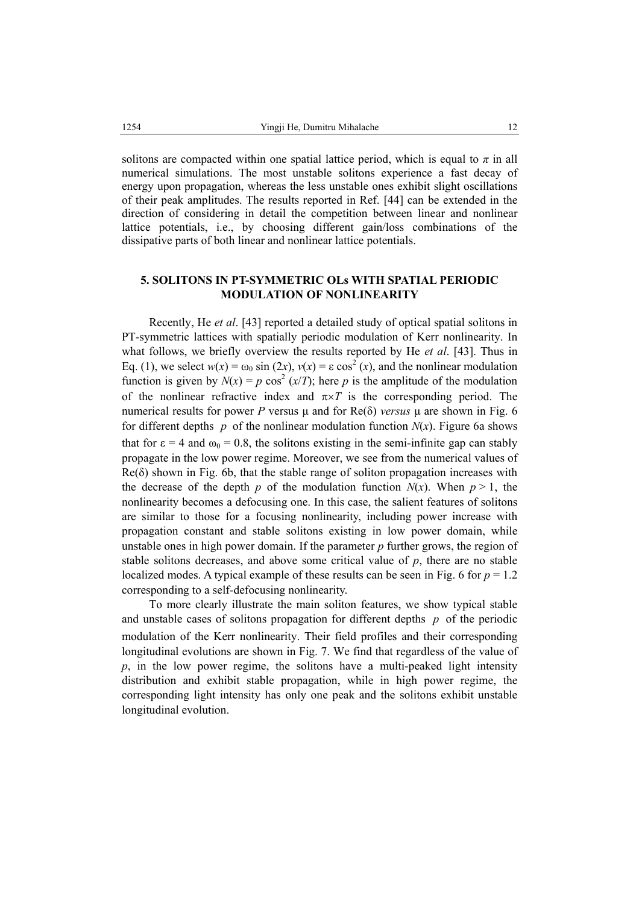solitons are compacted within one spatial lattice period, which is equal to  $\pi$  in all numerical simulations. The most unstable solitons experience a fast decay of energy upon propagation, whereas the less unstable ones exhibit slight oscillations of their peak amplitudes. The results reported in Ref. [44] can be extended in the direction of considering in detail the competition between linear and nonlinear lattice potentials, i.e., by choosing different gain/loss combinations of the dissipative parts of both linear and nonlinear lattice potentials.

# **5. SOLITONS IN PT-SYMMETRIC OLs WITH SPATIAL PERIODIC MODULATION OF NONLINEARITY**

Recently, He *et al*. [43] reported a detailed study of optical spatial solitons in PT-symmetric lattices with spatially periodic modulation of Kerr nonlinearity. In what follows, we briefly overview the results reported by He *et al*. [43]. Thus in Eq. (1), we select  $w(x) = \omega_0 \sin(2x)$ ,  $v(x) = \varepsilon \cos^2(x)$ , and the nonlinear modulation function is given by  $N(x) = p \cos^2(x/T)$ ; here *p* is the amplitude of the modulation of the nonlinear refractive index and  $\pi \times T$  is the corresponding period. The numerical results for power *P* versus  $\mu$  and for Re( $\delta$ ) *versus*  $\mu$  are shown in Fig. 6 for different depths  $p$  of the nonlinear modulation function  $N(x)$ . Figure 6a shows that for  $\epsilon = 4$  and  $\omega_0 = 0.8$ , the solitons existing in the semi-infinite gap can stably propagate in the low power regime. Moreover, we see from the numerical values of  $Re(\delta)$  shown in Fig. 6b, that the stable range of soliton propagation increases with the decrease of the depth *p* of the modulation function  $N(x)$ . When  $p > 1$ , the nonlinearity becomes a defocusing one. In this case, the salient features of solitons are similar to those for a focusing nonlinearity, including power increase with propagation constant and stable solitons existing in low power domain, while unstable ones in high power domain. If the parameter *p* further grows, the region of stable solitons decreases, and above some critical value of  $p$ , there are no stable localized modes. A typical example of these results can be seen in Fig. 6 for  $p = 1.2$ corresponding to a self-defocusing nonlinearity.

To more clearly illustrate the main soliton features, we show typical stable and unstable cases of solitons propagation for different depths *p* of the periodic modulation of the Kerr nonlinearity. Their field profiles and their corresponding longitudinal evolutions are shown in Fig. 7. We find that regardless of the value of *p*, in the low power regime, the solitons have a multi-peaked light intensity distribution and exhibit stable propagation, while in high power regime, the corresponding light intensity has only one peak and the solitons exhibit unstable longitudinal evolution.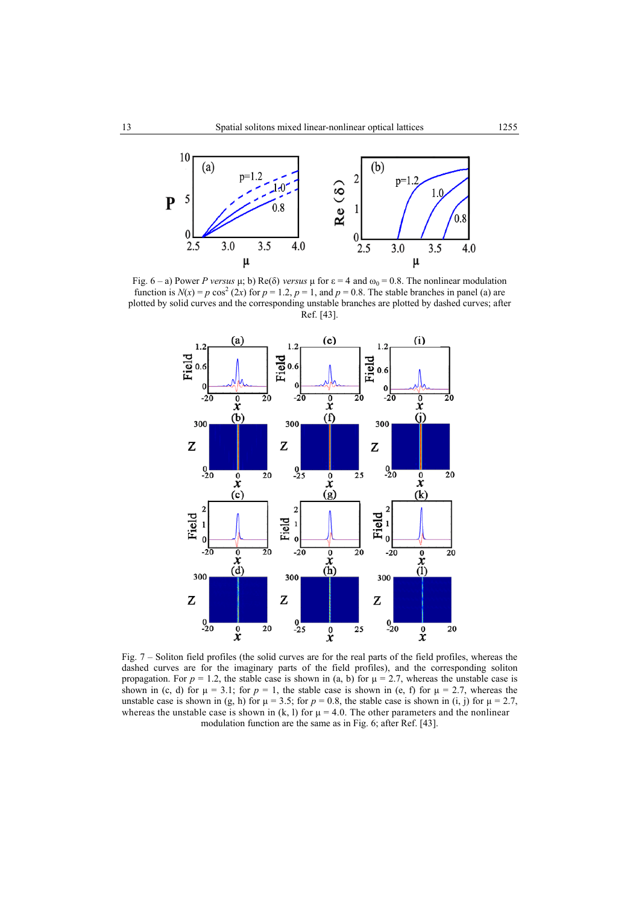

Fig.  $6 - a$ ) Power *P versus* µ; b) Re( $\delta$ ) *versus* µ for  $\epsilon = 4$  and  $\omega_0 = 0.8$ . The nonlinear modulation function is  $N(x) = p \cos^2(2x)$  for  $p = 1.2$ ,  $p = 1$ , and  $p = 0.8$ . The stable branches in panel (a) are plotted by solid curves and the corresponding unstable branches are plotted by dashed curves; after Ref. [43].



Fig. 7 – Soliton field profiles (the solid curves are for the real parts of the field profiles, whereas the dashed curves are for the imaginary parts of the field profiles), and the corresponding soliton propagation. For  $p = 1.2$ , the stable case is shown in (a, b) for  $\mu = 2.7$ , whereas the unstable case is shown in (c, d) for  $\mu = 3.1$ ; for  $p = 1$ , the stable case is shown in (e, f) for  $\mu = 2.7$ , whereas the unstable case is shown in (g, h) for  $\mu = 3.5$ ; for  $p = 0.8$ , the stable case is shown in (i, j) for  $\mu = 2.7$ , whereas the unstable case is shown in  $(k, l)$  for  $\mu = 4.0$ . The other parameters and the nonlinear modulation function are the same as in Fig. 6; after Ref. [43].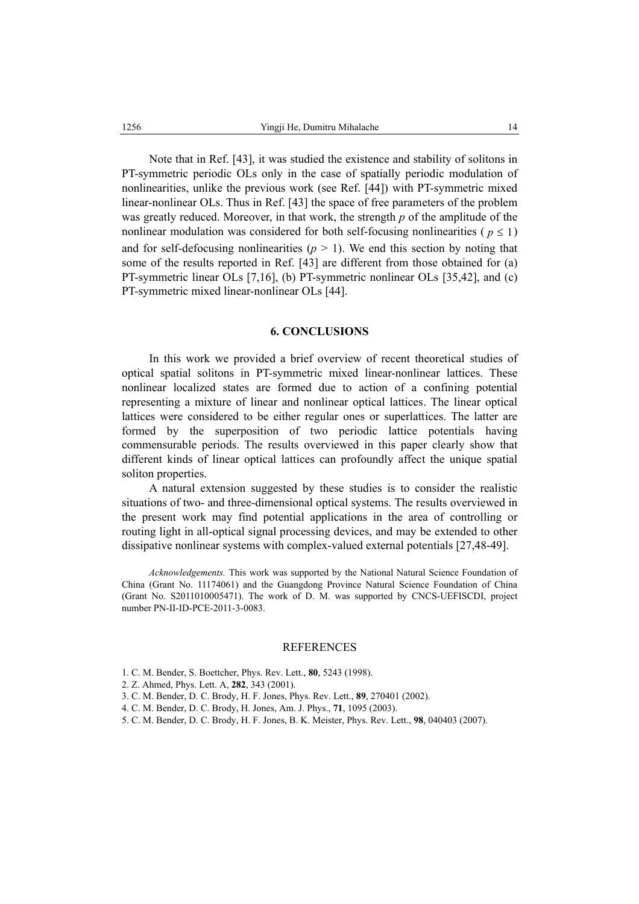Note that in Ref. [43], it was studied the existence and stability of solitons in PT-symmetric periodic OLs only in the case of spatially periodic modulation of nonlinearities, unlike the previous work (see Ref. [44]) with PT-symmetric mixed linear-nonlinear OLs. Thus in Ref. [43] the space of free parameters of the problem was greatly reduced. Moreover, in that work, the strength *p* of the amplitude of the nonlinear modulation was considered for both self-focusing nonlinearities ( $p \le 1$ ) and for self-defocusing nonlinearities  $(p > 1)$ . We end this section by noting that some of the results reported in Ref. [43] are different from those obtained for (a) PT-symmetric linear OLs [7,16], (b) PT-symmetric nonlinear OLs [35,42], and (c) PT-symmetric mixed linear-nonlinear OLs [44].

#### **6. CONCLUSIONS**

In this work we provided a brief overview of recent theoretical studies of optical spatial solitons in PT-symmetric mixed linear-nonlinear lattices. These nonlinear localized states are formed due to action of a confining potential representing a mixture of linear and nonlinear optical lattices. The linear optical lattices were considered to be either regular ones or superlattices. The latter are formed by the superposition of two periodic lattice potentials having commensurable periods. The results overviewed in this paper clearly show that different kinds of linear optical lattices can profoundly affect the unique spatial soliton properties.

A natural extension suggested by these studies is to consider the realistic situations of two- and three-dimensional optical systems. The results overviewed in the present work may find potential applications in the area of controlling or routing light in all-optical signal processing devices, and may be extended to other dissipative nonlinear systems with complex-valued external potentials [27,48-49].

*Acknowledgements.* This work was supported by the National Natural Science Foundation of China (Grant No. 11174061) and the Guangdong Province Natural Science Foundation of China (Grant No. S2011010005471). The work of D. M. was supported by CNCS-UEFISCDI, project number PN-II-ID-PCE-2011-3-0083.

#### REFERENCES

- 1. C. M. Bender, S. Boettcher, Phys. Rev. Lett., **80**, 5243 (1998).
- 2. Z. Ahmed, Phys. Lett. A, **282**, 343 (2001).
- 3. C. M. Bender, D. C. Brody, H. F. Jones, Phys. Rev. Lett., **89**, 270401 (2002).
- 4. C. M. Bender, D. C. Brody, H. Jones, Am. J. Phys., **71**, 1095 (2003).
- 5. C. M. Bender, D. C. Brody, H. F. Jones, B. K. Meister, Phys. Rev. Lett., **98**, 040403 (2007).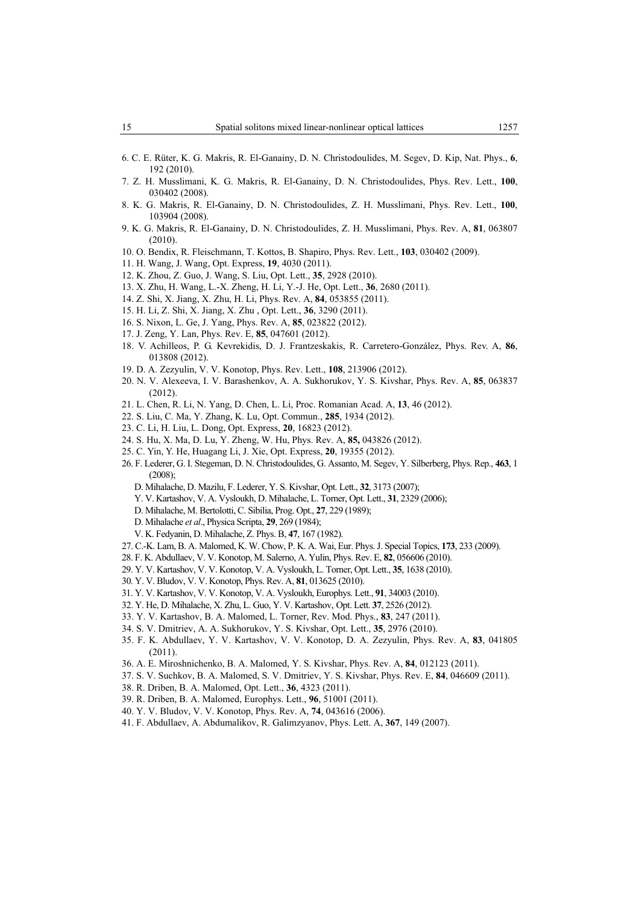- 6. C. E. Rüter, K. G. Makris, R. El-Ganainy, D. N. Christodoulides, M. Segev, D. Kip, Nat. Phys., **6**, 192 (2010).
- 7. Z. H. Musslimani, K. G. Makris, R. El-Ganainy, D. N. Christodoulides, Phys. Rev. Lett., **100**, 030402 (2008).
- 8. K. G. Makris, R. El-Ganainy, D. N. Christodoulides, Z. H. Musslimani, Phys. Rev. Lett., **100**, 103904 (2008).
- 9. K. G. Makris, R. El-Ganainy, D. N. Christodoulides, Z. H. Musslimani, Phys. Rev. A, **81**, 063807 (2010).
- 10. O. Bendix, R. Fleischmann, T. Kottos, B. Shapiro, Phys. Rev. Lett., **103**, 030402 (2009).
- 11. H. Wang, J. Wang, Opt. Express, **19**, 4030 (2011).
- 12. K. Zhou, Z. Guo, J. Wang, S. Liu, Opt. Lett., **35**, 2928 (2010).
- 13. X. Zhu, H. Wang, L.-X. Zheng, H. Li, Y.-J. He, Opt. Lett., **36**, 2680 (2011).
- 14. Z. Shi, X. Jiang, X. Zhu, H. Li, Phys. Rev. A, **84**, 053855 (2011).
- 15. H. Li, Z. Shi, X. Jiang, X. Zhu , Opt. Lett., **36**, 3290 (2011).
- 16. S. Nixon, L. Ge, J. Yang, Phys. Rev. A, **85**, 023822 (2012).
- 17. J. Zeng, Y. Lan, Phys. Rev. E, **85**, 047601 (2012).
- 18. V. Achilleos, P. G. Kevrekidis, D. J. Frantzeskakis, R. Carretero-González, Phys. Rev. A, **86**, 013808 (2012).
- 19. D. A. Zezyulin, V. V. Konotop, Phys. Rev. Lett., **108**, 213906 (2012).
- 20. N. V. Alexeeva, I. V. Barashenkov, A. A. Sukhorukov, Y. S. Kivshar, Phys. Rev. A, **85**, 063837 (2012).
- 21. L. Chen, R. Li, N. Yang, D. Chen, L. Li, Proc. Romanian Acad. A, **13**, 46 (2012).
- 22. S. Liu, C. Ma, Y. Zhang, K. Lu, Opt. Commun., **285**, 1934 (2012).
- 23. C. Li, H. Liu, L. Dong, Opt. Express, **20**, 16823 (2012).
- 24. S. Hu, X. Ma, D. Lu, Y. Zheng, W. Hu, Phys. Rev. A, **85,** 043826 (2012).
- 25. C. Yin, Y. He, Huagang Li, J. Xie, Opt. Express, **20**, 19355 (2012).
- 26. F. Lederer, G. I. Stegeman, D. N. Christodoulides, G. Assanto, M. Segev, Y. Silberberg, Phys. Rep., **463**, 1 (2008);
	- D. Mihalache, D. Mazilu, F. Lederer, Y. S. Kivshar, Opt. Lett., **32**, 3173 (2007);
	- Y. V. Kartashov, V. A. Vysloukh, D. Mihalache, L. Torner, Opt. Lett., **31**, 2329 (2006);
	- D. Mihalache, M. Bertolotti, C. Sibilia, Prog. Opt., **27**, 229 (1989);
	- D. Mihalache *et al*., Physica Scripta, **29**, 269 (1984);
	- V. K. Fedyanin, D. Mihalache, Z. Phys. B, **47**, 167 (1982).
- 27. C.-K. Lam, B. A. Malomed, K. W. Chow, P. K. A. Wai, Eur. Phys. J. Special Topics, **173**, 233 (2009).
- 28. F. K. Abdullaev, V. V. Konotop, M. Salerno, A. Yulin, Phys. Rev. E, **82**, 056606 (2010).
- 29. Y. V. Kartashov, V. V. Konotop, V. A. Vysloukh, L. Torner, Opt. Lett., **35**, 1638 (2010).
- 30. Y. V. Bludov, V. V. Konotop, Phys. Rev. A, **81**, 013625 (2010).
- 31. Y. V. Kartashov, V. V. Konotop, V. A. Vysloukh, Europhys. Lett., **91**, 34003 (2010).
- 32. Y. He, D. Mihalache, X. Zhu, L. Guo, Y. V. Kartashov, Opt. Lett. **37**, 2526 (2012).
- 33. Y. V. Kartashov, B. A. Malomed, L. Torner, Rev. Mod. Phys., **83**, 247 (2011).
- 34. S. V. Dmitriev, A. A. Sukhorukov, Y. S. Kivshar, Opt. Lett., **35**, 2976 (2010).
- 35. F. K. Abdullaev, Y. V. Kartashov, V. V. Konotop, D. A. Zezyulin, Phys. Rev. A, **83**, 041805 (2011).
- 36. A. E. Miroshnichenko, B. A. Malomed, Y. S. Kivshar, Phys. Rev. A, **84**, 012123 (2011).
- 37. S. V. Suchkov, B. A. Malomed, S. V. Dmitriev, Y. S. Kivshar, Phys. Rev. E, **84**, 046609 (2011).
- 38. R. Driben, B. A. Malomed, Opt. Lett., **36**, 4323 (2011).
- 39. R. Driben, B. A. Malomed, Europhys. Lett., **96**, 51001 (2011).
- 40. Y. V. Bludov, V. V. Konotop, Phys. Rev. A, **74**, 043616 (2006).
- 41. F. Abdullaev, A. Abdumalikov, R. Galimzyanov, Phys. Lett. A, **367**, 149 (2007).